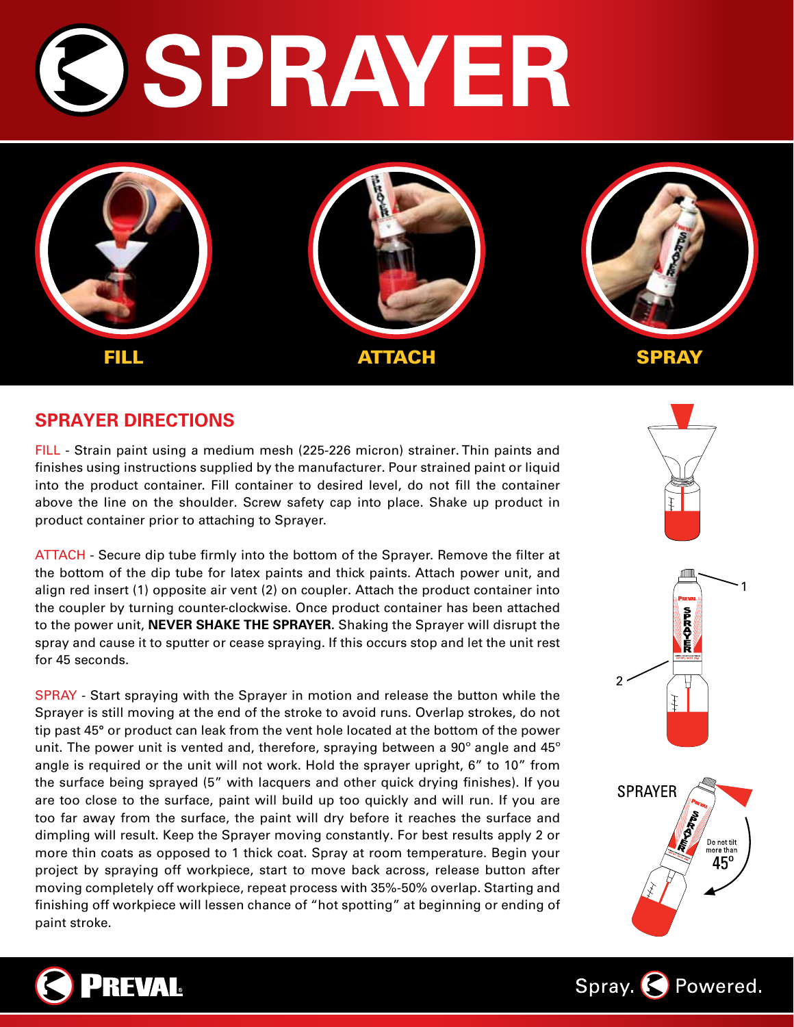# SPRAYER



### **SPRAYER DIRECTIONS**

FILL - Strain paint using a medium mesh (225-226 micron) strainer. Thin paints and finishes using instructions supplied by the manufacturer. Pour strained paint or liquid into the product container. Fill container to desired level, do not fill the container above the line on the shoulder. Screw safety cap into place. Shake up product in product container prior to attaching to Sprayer.

ATTACH - Secure dip tube firmly into the bottom of the Sprayer. Remove the filter at the bottom of the dip tube for latex paints and thick paints. Attach power unit, and align red insert (1) opposite air vent (2) on coupler. Attach the product container into the coupler by turning counter-clockwise. Once product container has been attached to the power unit, **Never shake the Sprayer.** Shaking the Sprayer will disrupt the spray and cause it to sputter or cease spraying. If this occurs stop and let the unit rest for 45 seconds.

SPRAY - Start spraying with the Sprayer in motion and release the button while the Sprayer is still moving at the end of the stroke to avoid runs. Overlap strokes, do not tip past 45° or product can leak from the vent hole located at the bottom of the power unit. The power unit is vented and, therefore, spraying between a 90° angle and 45° angle is required or the unit will not work. Hold the sprayer upright, 6" to 10" from the surface being sprayed (5" with lacquers and other quick drying finishes). If you are too close to the surface, paint will build up too quickly and will run. If you are too far away from the surface, the paint will dry before it reaches the surface and dimpling will result. Keep the Sprayer moving constantly. For best results apply 2 or more thin coats as opposed to 1 thick coat. Spray at room temperature. Begin your project by spraying off workpiece, start to move back across, release button after moving completely off workpiece, repeat process with 35%-50% overlap. Starting and finishing off workpiece will lessen chance of "hot spotting" at beginning or ending of paint stroke.





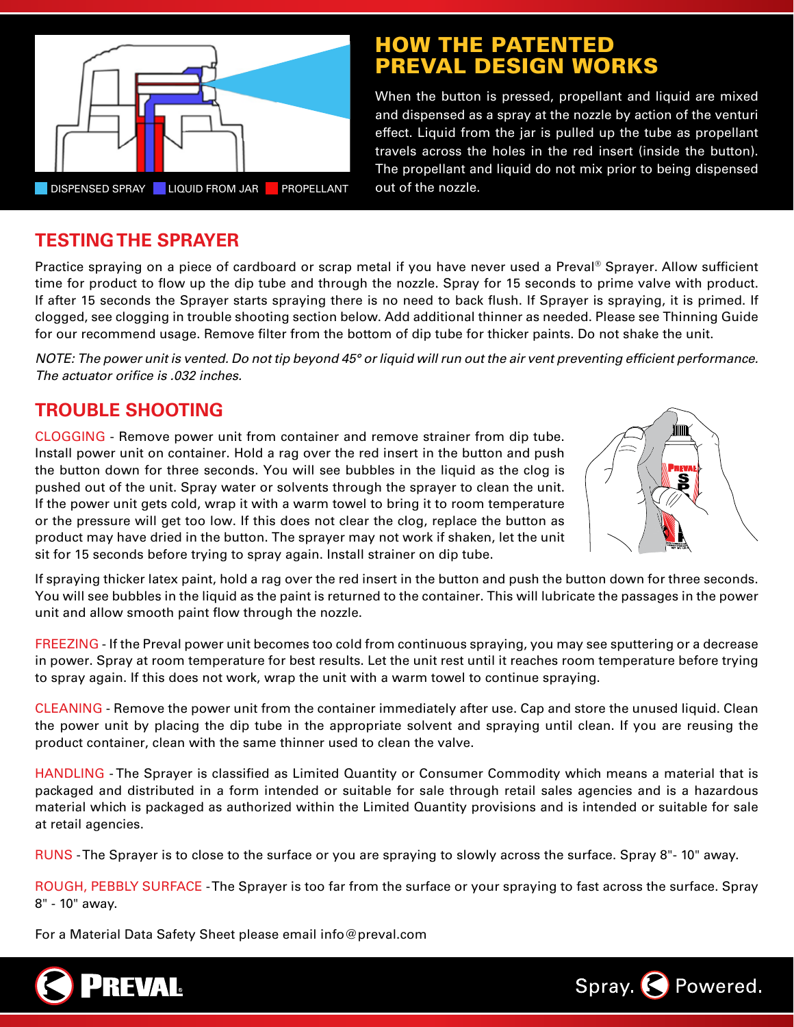

# **HOW THE PATENTED** PREVAL DESIGN WORK

When the button is pressed, propellant and liquid are mixed and dispensed as a spray at the nozzle by action of the venturi effect. Liquid from the jar is pulled up the tube as propellant travels across the holes in the red insert (inside the button). The propellant and liquid do not mix prior to being dispensed

# **TESTING THE SPRAYER**

Practice spraying on a piece of cardboard or scrap metal if you have never used a Preval® Sprayer. Allow sufficient time for product to flow up the dip tube and through the nozzle. Spray for 15 seconds to prime valve with product. If after 15 seconds the Sprayer starts spraying there is no need to back flush. If Sprayer is spraying, it is primed. If clogged, see clogging in trouble shooting section below. Add additional thinner as needed. Please see Thinning Guide for our recommend usage. Remove filter from the bottom of dip tube for thicker paints. Do not shake the unit.

*Note: The power unit is vented. Do not tip beyond 45° or liquid will run out the air vent preventing efficient performance. The actuator orifice is .032 inches.*

# **Trouble SHooting**

Clogging - Remove power unit from container and remove strainer from dip tube. Install power unit on container. Hold a rag over the red insert in the button and push the button down for three seconds. You will see bubbles in the liquid as the clog is pushed out of the unit. Spray water or solvents through the sprayer to clean the unit. If the power unit gets cold, wrap it with a warm towel to bring it to room temperature or the pressure will get too low. If this does not clear the clog, replace the button as product may have dried in the button. The sprayer may not work if shaken, let the unit sit for 15 seconds before trying to spray again. Install strainer on dip tube.



If spraying thicker latex paint, hold a rag over the red insert in the button and push the button down for three seconds. You will see bubbles in the liquid as the paint is returned to the container. This will lubricate the passages in the power unit and allow smooth paint flow through the nozzle.

FREEZING - If the Preval power unit becomes too cold from continuous spraying, you may see sputtering or a decrease in power. Spray at room temperature for best results. Let the unit rest until it reaches room temperature before trying to spray again. If this does not work, wrap the unit with a warm towel to continue spraying.

CLEANING - Remove the power unit from the container immediately after use. Cap and store the unused liquid. Clean the power unit by placing the dip tube in the appropriate solvent and spraying until clean. If you are reusing the product container, clean with the same thinner used to clean the valve.

HANDLING - The Sprayer is classified as Limited Quantity or Consumer Commodity which means a material that is packaged and distributed in a form intended or suitable for sale through retail sales agencies and is a hazardous material which is packaged as authorized within the Limited Quantity provisions and is intended or suitable for sale at retail agencies.

RUNS - The Sprayer is to close to the surface or you are spraying to slowly across the surface. Spray 8"- 10" away.

ROUGH, PEBBLY SURFACE - The Sprayer is too far from the surface or your spraying to fast across the surface. Spray 8" - 10" away.

For a Material Data Safety Sheet please email info@preval.com